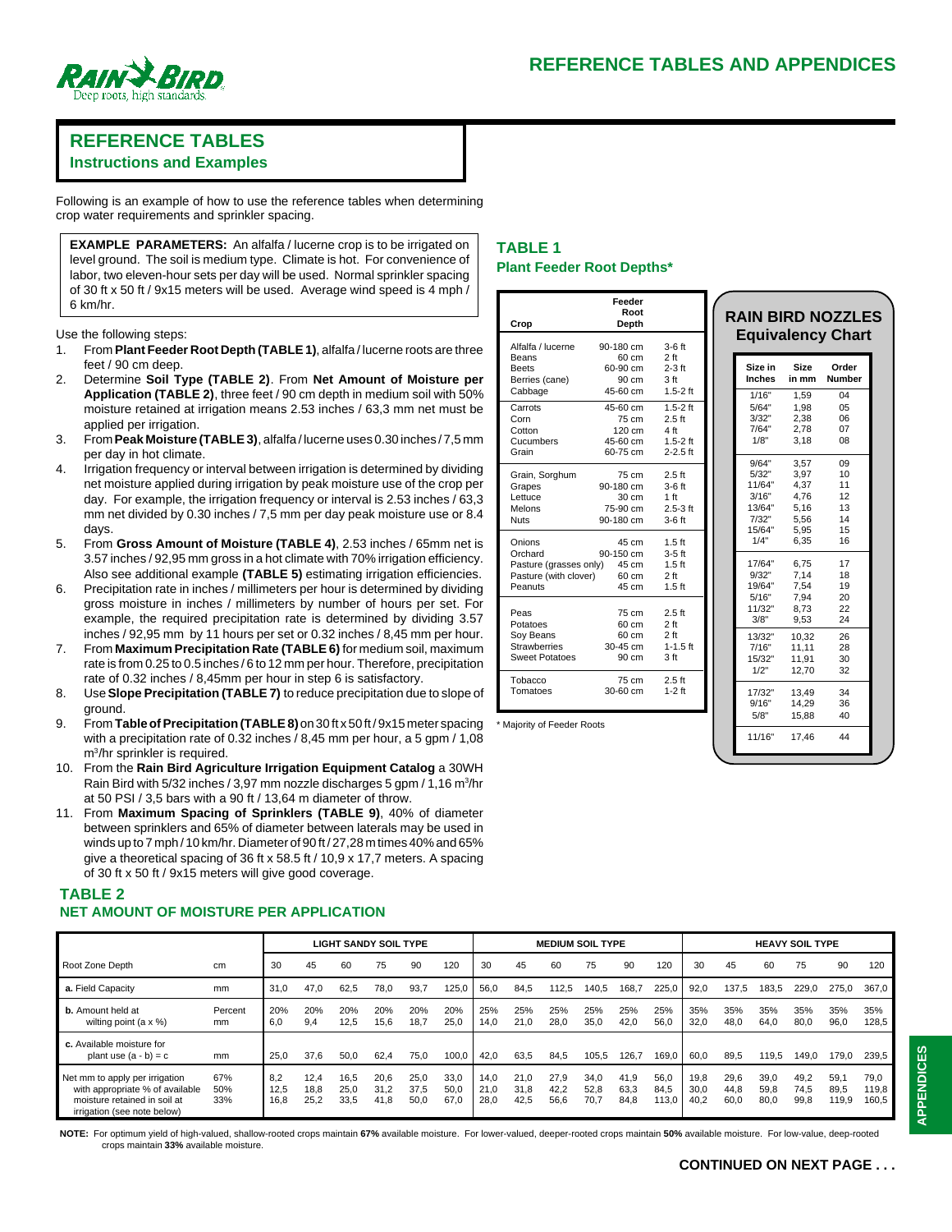

# **REFERENCE TABLES**

**Instructions and Examples**

Following is an example of how to use the reference tables when determining crop water requirements and sprinkler spacing.

**EXAMPLE PARAMETERS:** An alfalfa / lucerne crop is to be irrigated on level ground. The soil is medium type. Climate is hot. For convenience of labor, two eleven-hour sets per day will be used. Normal sprinkler spacing of 30 ft x 50 ft / 9x15 meters will be used. Average wind speed is 4 mph / 6 km/hr.

Use the following steps:

- 1. From **Plant Feeder Root Depth (TABLE 1)**, alfalfa / lucerne roots are three feet / 90 cm deep.
- 2. Determine **Soil Type (TABLE 2)**. From **Net Amount of Moisture per Application (TABLE 2)**, three feet / 90 cm depth in medium soil with 50% moisture retained at irrigation means 2.53 inches / 63,3 mm net must be applied per irrigation.
- 3. From **Peak Moisture (TABLE 3)**, alfalfa / lucerne uses 0.30 inches / 7,5 mm per day in hot climate.
- 4. Irrigation frequency or interval between irrigation is determined by dividing net moisture applied during irrigation by peak moisture use of the crop per day. For example, the irrigation frequency or interval is 2.53 inches / 63,3 mm net divided by 0.30 inches / 7,5 mm per day peak moisture use or 8.4 days.
- 5. From **Gross Amount of Moisture (TABLE 4)**, 2.53 inches / 65mm net is 3.57 inches / 92,95 mm gross in a hot climate with 70% irrigation efficiency. Also see additional example **(TABLE 5)** estimating irrigation efficiencies.
- 6. Precipitation rate in inches / millimeters per hour is determined by dividing gross moisture in inches / millimeters by number of hours per set. For example, the required precipitation rate is determined by dividing 3.57 inches / 92,95 mm by 11 hours per set or 0.32 inches / 8,45 mm per hour.
- 7. From **Maximum Precipitation Rate (TABLE 6)** for medium soil, maximum rate is from 0.25 to 0.5 inches / 6 to 12 mm per hour. Therefore, precipitation rate of 0.32 inches / 8,45mm per hour in step 6 is satisfactory.
- 8. Use **Slope Precipitation (TABLE 7)** to reduce precipitation due to slope of ground.
- 9. From **Table of Precipitation (TABLE 8)** on 30 ft x 50 ft / 9x15 meter spacing with a precipitation rate of 0.32 inches / 8,45 mm per hour, a 5 gpm / 1,08 m3/hr sprinkler is required.
- 10. From the **Rain Bird Agriculture Irrigation Equipment Catalog** a 30WH Rain Bird with 5/32 inches / 3,97 mm nozzle discharges 5 gpm / 1,16 m<sup>3</sup>/hr at 50 PSI / 3,5 bars with a 90 ft / 13,64 m diameter of throw.
- 11. From **Maximum Spacing of Sprinklers (TABLE 9)**, 40% of diameter between sprinklers and 65% of diameter between laterals may be used in winds up to 7 mph / 10 km/hr. Diameter of 90 ft / 27,28 m times 40% and 65% give a theoretical spacing of 36 ft x 58.5 ft / 10,9 x 17,7 meters. A spacing of 30 ft x 50 ft / 9x15 meters will give good coverage.

# **TABLE 2 NET AMOUNT OF MOISTURE PER APPLICATION**

### LIGHT SANDY SOIL TYPE **ALCOMEDIUM SOIL TYPE HEAVY SOIL TYPE**  Root Zone Depth cm 30 45 60 75 90 120 30 45 60 75 90 120 30 45 60 75 90 120 **a.** Field Capacity mm 31,0 47,0 62,5 78,0 93,7 125,0 56,0 84,5 112,5 140,5 168,7 225,0 92,0 137,5 183,5 229,0 275,0 367,0 **b.** Amount held at Percent 20% 20% 20% 20% 20% 20% 25% 25% 25% 25% 25% 25% 35% 35% 35% 35% 35% 35% wilting point (a x %) mm 6,0 9,4 12,5 15,6 18,7 25,0 14,0 21,0 28,0 35,0 42,0 56,0 32,0 48,0 64,0 80,0 96,0 128,5 **c.** Available moisture for<br>plant use (a - b) = c plant use (a - b) = c mm | 25,0 37,6 50,0 62,4 75,0 100,0 | 42,0 63,5 84,5 105,5 126,7 169,0 | 60,0 89,5 119,5 149,0 179,0 239,5 Net mm to apply per irrigation 67% 8,2 12,4 16,5 20,6 25,0 33,0 14,0 21,0 27,9 34,0 41,9 56,0 19,8 29,6 39,0 49,2 59,1 79,0 with appropriate % of available 50% | 12,5 18,8 25,0 31,2 37,5 50,0 | 21,0 31,8 42,2 52,8 63,3 84,5 | 30,0 44,8 59,8 74,5 89,5 119,8<br>16,8 113,0 | 40,2 60,0 80,0 99,8 119,9 160,5 160,8 160,8 160 17,0 17,0 17,0 17,0 17,0 17, moisture retained in soil at irrigation (see note below)

**NOTE:** For optimum yield of high-valued, shallow-rooted crops maintain **67%** available moisture. For lower-valued, deeper-rooted crops maintain **50%** available moisture. For low-value, deep-rooted crops maintain **33%** available moisture.

# **TABLE 1 Plant Feeder Root Depths\***

|                              | Feeder<br>Root   |                 |  |
|------------------------------|------------------|-----------------|--|
| Crop                         | Depth            |                 |  |
| Alfalfa / lucerne            | $90-180$ cm      | $3-6$ ft        |  |
| Beans                        | 60 cm            | 2 <sub>ft</sub> |  |
| <b>Beets</b>                 | 60-90 cm         | $2-3$ ft        |  |
| Berries (cane)               | 90 cm            | 3 <sub>ft</sub> |  |
| Cabbage                      | 45-60 cm         | $1.5 - 2$ ft    |  |
| Carrots                      | 45-60 cm         | $1.5 - 2$ ft    |  |
| Corn                         | 75 cm            | $2.5$ ft        |  |
| Cotton                       | $120 \text{ cm}$ | 4 ft            |  |
| Cucumbers                    | 45-60 cm         | $1.5 - 2$ ft    |  |
| Grain                        | 60-75 cm         | $2 - 2.5$ ft    |  |
| Grain, Sorghum               | 75 cm            | $2.5$ ft        |  |
| Grapes                       | 90-180 cm        | $3-6$ ft        |  |
| Lettuce                      | 30 cm            | 1 <sub>ft</sub> |  |
| Melons                       | 75-90 cm         | $2.5 - 3$ ft    |  |
| <b>Nuts</b>                  | 90-180 cm        | $3-6$ ft        |  |
| Onions                       | 45 cm            | $1.5$ ft        |  |
| Orchard                      | $90 - 150$ cm    | $3-5$ ft        |  |
| Pasture (grasses only) 45 cm |                  | $1.5$ ft        |  |
| Pasture (with clover) 60 cm  |                  | 2 <sub>ft</sub> |  |
| Peanuts                      | 45 cm            | $1.5$ ft        |  |
| Peas                         | 75 cm            | $2.5$ ft        |  |
| Potatoes                     | 60 cm            | 2 <sub>ft</sub> |  |
| Soy Beans                    | 60 cm            | 2 <sub>ft</sub> |  |
| <b>Strawberries</b>          | 30-45 cm         | $1 - 1.5$ ft    |  |
| <b>Sweet Potatoes</b>        | 90 cm            | 3 <sub>ft</sub> |  |
|                              |                  |                 |  |
| Tobacco                      | 75 cm            | $2.5$ ft        |  |
| Tomatoes                     | 30-60 cm         | $1-2$ ft        |  |
|                              |                  |                 |  |
| * Majority of Feeder Roots   |                  |                 |  |

| <b>Inches</b> | in mm | <b>Number</b> |
|---------------|-------|---------------|
| 1/16"         | 1,59  | 04            |
| 5/64"         | 1,98  | 05            |
| 3/32"         | 2,38  | 06            |
| 7/64"         | 2,78  | 07            |
| 1/8"          | 3.18  | 08            |
| 9/64"         | 3,57  | 09            |
| 5/32"         | 3,97  | 10            |
| 11/64"        | 4,37  | 11            |
| 3/16"         | 4,76  | 12            |
| 13/64"        | 5,16  | 13            |
| 7/32"         | 5,56  | 14            |
| 15/64"        | 5,95  | 15            |
| 1/4"          | 6,35  | 16            |
| 17/64"        | 6,75  | 17            |
| 9/32"         | 7,14  | 18            |
| 19/64"        | 7,54  | 19            |
| 5/16"         | 7,94  | 20            |
| 11/32"        | 8,73  | 22            |
| 3/8"          | 9,53  | 24            |
| 13/32"        | 10,32 | 26            |
| 7/16"         | 11,11 | 28            |
| 15/32"        | 11,91 | 30            |
| 1/2"          | 12,70 | 32            |
| 17/32"        | 13,49 | 34            |
| 9/16"         | 14,29 | 36            |
| 5/8"          | 15,88 | 40            |
| 11/16"        | 17.46 | 44            |
|               |       |               |

**RAIN BIRD NOZZLES Equivalency Chart Size in Size Order**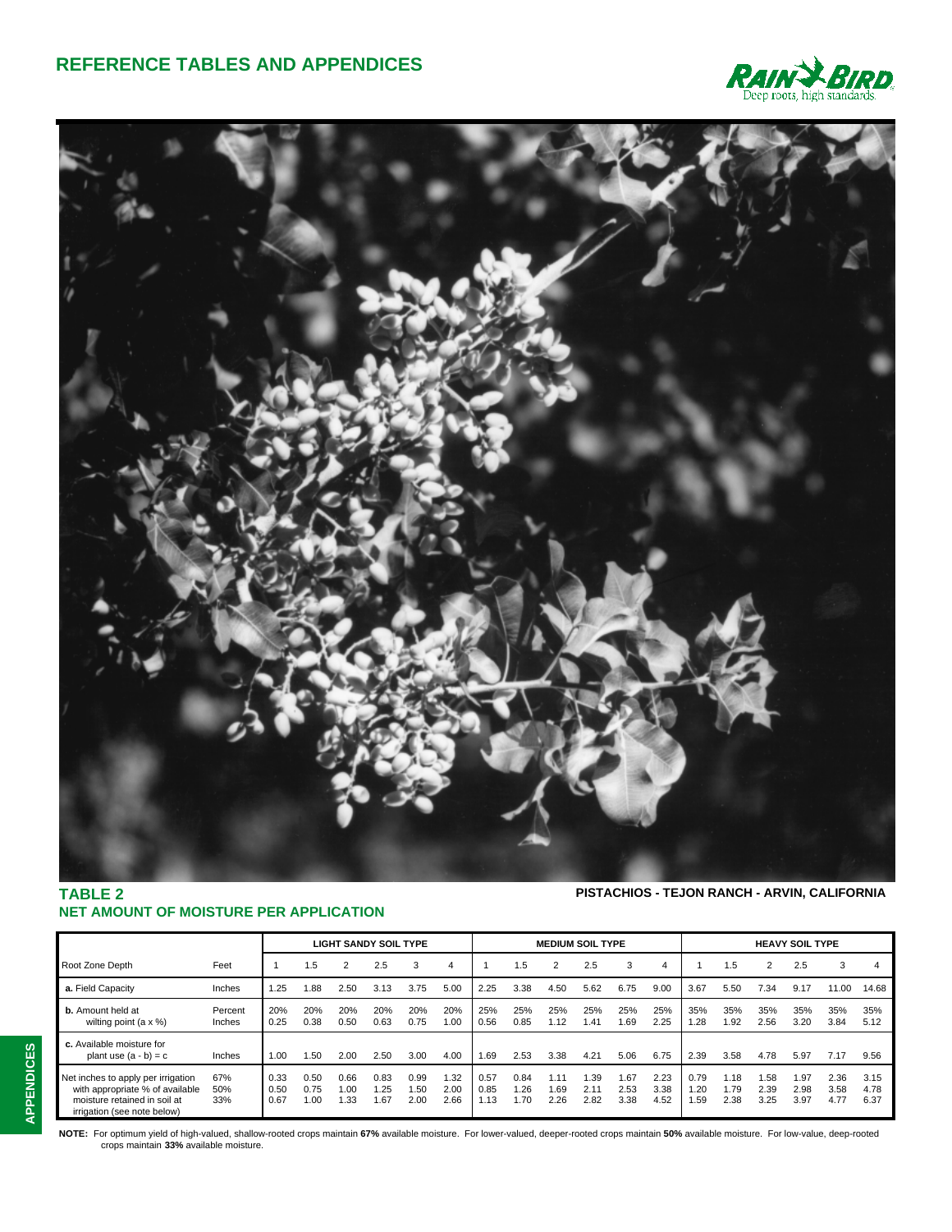



## **TABLE 2 NET AMOUNT OF MOISTURE PER APPLICATION**

**PISTACHIOS - TEJON RANCH - ARVIN, CALIFORNIA**

|                                                                                                                                      |                          |                      | <b>LIGHT SANDY SOIL TYPE</b> |                      |                    |                      | <b>MEDIUM SOIL TYPE</b> |                      |                     |                      | <b>HEAVY SOIL TYPE</b> |                      |                      |                      |                      |                      |                      |                      |                      |
|--------------------------------------------------------------------------------------------------------------------------------------|--------------------------|----------------------|------------------------------|----------------------|--------------------|----------------------|-------------------------|----------------------|---------------------|----------------------|------------------------|----------------------|----------------------|----------------------|----------------------|----------------------|----------------------|----------------------|----------------------|
| Root Zone Depth                                                                                                                      | Feet                     |                      | 1.5                          | 2                    | 2.5                | 3                    | 4                       |                      | 1.5                 | 2                    | 2.5                    | 3                    | 4                    |                      | 1.5                  | 2                    | 2.5                  | 3                    |                      |
| a. Field Capacity                                                                                                                    | Inches                   | 1.25                 | 1.88                         | 2.50                 | 3.13               | 3.75                 | 5.00                    | 2.25                 | 3.38                | 4.50                 | 5.62                   | 6.75                 | 9.00                 | 3.67                 | 5.50                 | 7.34                 | 9.17                 | 11.00                | 14.68                |
| <b>b.</b> Amount held at<br>wilting point $(a \times \%)$                                                                            | Percent<br><b>Inches</b> | 20%<br>0.25          | 20%<br>0.38                  | 20%<br>0.50          | 20%<br>0.63        | 20%<br>0.75          | 20%<br>1.00             | 25%<br>0.56          | 25%<br>0.85         | 25%<br>1.12          | 25%<br>1.41            | 25%<br>1.69          | 25%<br>2.25          | 35%<br>1.28          | 35%<br>1.92          | 35%<br>2.56          | 35%<br>3.20          | 35%<br>3.84          | 35%<br>5.12          |
| c. Available moisture for<br>plant use $(a - b) = c$                                                                                 | Inches                   | 1.00                 | 1.50                         | 2.00                 | 2.50               | 3.00                 | 4.00                    | 1.69                 | 2.53                | 3.38                 | 4.21                   | 5.06                 | 6.75                 | 2.39                 | 3.58                 | 4.78                 | 5.97                 | 7.17                 | 9.56                 |
| Net inches to apply per irrigation<br>with appropriate % of available<br>moisture retained in soil at<br>irrigation (see note below) | 67%<br>50%<br>33%        | 0.33<br>0.50<br>0.67 | 0.50<br>0.75<br>1.00         | 0.66<br>1.00<br>1.33 | 0.83<br>.25<br>.67 | 0.99<br>1.50<br>2.00 | 1.32<br>2.00<br>2.66    | 0.57<br>0.85<br>1.13 | 0.84<br>1.26<br>.70 | 1.11<br>1.69<br>2.26 | 1.39<br>2.11<br>2.82   | 1.67<br>2.53<br>3.38 | 2.23<br>3.38<br>4.52 | 0.79<br>1.20<br>1.59 | 1.18<br>1.79<br>2.38 | 1.58<br>2.39<br>3.25 | 1.97<br>2.98<br>3.97 | 2.36<br>3.58<br>4.77 | 3.15<br>4.78<br>6.37 |

NOTE: For optimum yield of high-valued, shallow-rooted crops maintain 67% available moisture. For lower-valued, deeper-rooted crops maintain 50% available moisture. For low-value, deep-rooted<br>crops maintain 33% available m